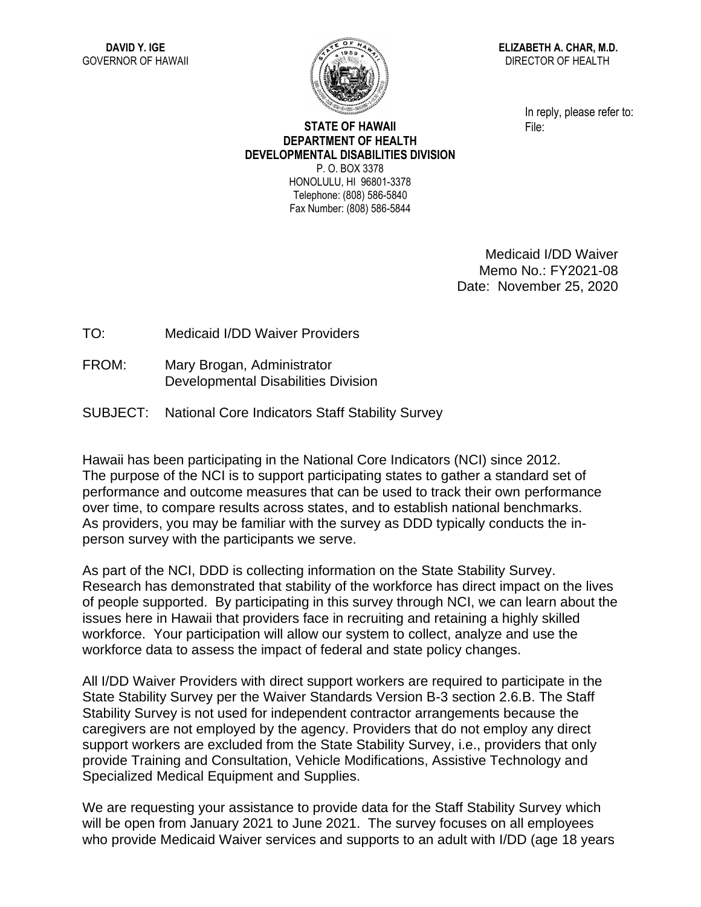

**ELIZABETH A. CHAR, M.D.** DIRECTOR OF HEALTH

> In reply, please refer to: File:

## **STATE OF HAWAII DEPARTMENT OF HEALTH DEVELOPMENTAL DISABILITIES DIVISION** P. O. BOX 3378 HONOLULU, HI 96801-3378 Telephone: (808) 586-5840

Fax Number: (808) 586-5844

Medicaid I/DD Waiver Memo No.: FY2021-08 Date: November 25, 2020

TO: Medicaid I/DD Waiver Providers

- FROM: Mary Brogan, Administrator Developmental Disabilities Division
- SUBJECT: National Core Indicators Staff Stability Survey

Hawaii has been participating in the National Core Indicators (NCI) since 2012. The purpose of the NCI is to support participating states to gather a standard set of performance and outcome measures that can be used to track their own performance over time, to compare results across states, and to establish national benchmarks. As providers, you may be familiar with the survey as DDD typically conducts the inperson survey with the participants we serve.

As part of the NCI, DDD is collecting information on the State Stability Survey. Research has demonstrated that stability of the workforce has direct impact on the lives of people supported. By participating in this survey through NCI, we can learn about the issues here in Hawaii that providers face in recruiting and retaining a highly skilled workforce. Your participation will allow our system to collect, analyze and use the workforce data to assess the impact of federal and state policy changes.

All I/DD Waiver Providers with direct support workers are required to participate in the State Stability Survey per the Waiver Standards Version B-3 section 2.6.B. The Staff Stability Survey is not used for independent contractor arrangements because the caregivers are not employed by the agency. Providers that do not employ any direct support workers are excluded from the State Stability Survey, i.e., providers that only provide Training and Consultation, Vehicle Modifications, Assistive Technology and Specialized Medical Equipment and Supplies.

We are requesting your assistance to provide data for the Staff Stability Survey which will be open from January 2021 to June 2021. The survey focuses on all employees who provide Medicaid Waiver services and supports to an adult with I/DD (age 18 years